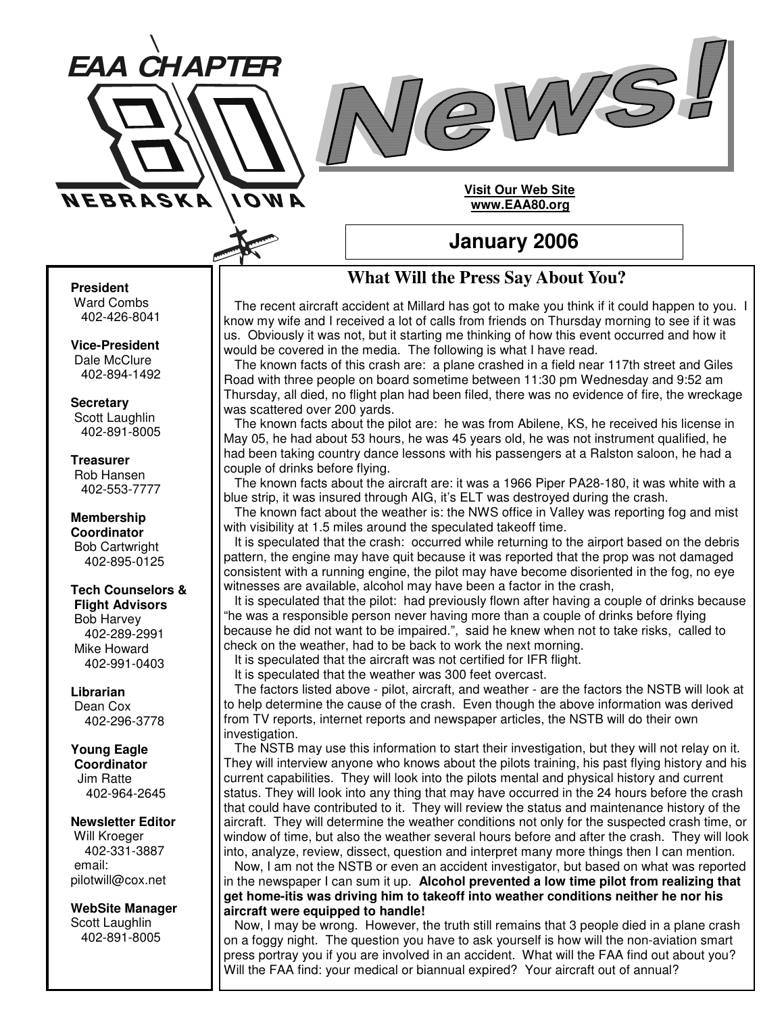

### **Visit Our Web Site www.EAA80.org**

## **January 2006**

# **What Will the Press Say About You?**

The recent aircraft accident at Millard has got to make you think if it could happen to you. I know my wife and I received a lot of calls from friends on Thursday morning to see if it was us. Obviously it was not, but it starting me thinking of how this event occurred and how it would be covered in the media. The following is what I have read.

The known facts of this crash are: a plane crashed in a field near 117th street and Giles Road with three people on board sometime between 11:30 pm Wednesday and 9:52 am Thursday, all died, no flight plan had been filed, there was no evidence of fire, the wreckage was scattered over 200 yards.

The known facts about the pilot are: he was from Abilene, KS, he received his license in May 05, he had about 53 hours, he was 45 years old, he was not instrument qualified, he had been taking country dance lessons with his passengers at a Ralston saloon, he had a couple of drinks before flying.

The known facts about the aircraft are: it was a 1966 Piper PA28-180, it was white with a blue strip, it was insured through AIG, it's ELT was destroyed during the crash.

The known fact about the weather is: the NWS office in Valley was reporting fog and mist with visibility at 1.5 miles around the speculated takeoff time.

It is speculated that the crash: occurred while returning to the airport based on the debris pattern, the engine may have quit because it was reported that the prop was not damaged consistent with a running engine, the pilot may have become disoriented in the fog, no eye witnesses are available, alcohol may have been a factor in the crash,

It is speculated that the pilot: had previously flown after having a couple of drinks because "he was a responsible person never having more than a couple of drinks before flying because he did not want to be impaired.", said he knew when not to take risks, called to check on the weather, had to be back to work the next morning.

It is speculated that the aircraft was not certified for IFR flight.

It is speculated that the weather was 300 feet overcast.

The factors listed above - pilot, aircraft, and weather - are the factors the NSTB will look at to help determine the cause of the crash. Even though the above information was derived from TV reports, internet reports and newspaper articles, the NSTB will do their own investigation.

The NSTB may use this information to start their investigation, but they will not relay on it. They will interview anyone who knows about the pilots training, his past flying history and his current capabilities. They will look into the pilots mental and physical history and current status. They will look into any thing that may have occurred in the 24 hours before the crash that could have contributed to it. They will review the status and maintenance history of the aircraft. They will determine the weather conditions not only for the suspected crash time, or window of time, but also the weather several hours before and after the crash. They will look into, analyze, review, dissect, question and interpret many more things then I can mention.

Now, I am not the NSTB or even an accident investigator, but based on what was reported in the newspaper I can sum it up. **Alcohol prevented a low time pilot from realizing that get home-itis was driving him to takeoff into weather conditions neither he nor his aircraft were equipped to handle!**

Now, I may be wrong. However, the truth still remains that 3 people died in a plane crash on a foggy night. The question you have to ask yourself is how will the non-aviation smart press portray you if you are involved in an accident. What will the FAA find out about you? Will the FAA find: your medical or biannual expired? Your aircraft out of annual?

#### **President**

Ward Combs 402-426-8041

**NEBRASKA** 

*EAA CHAPTER*

AWOI

**Vice-President** Dale McClure 402-894-1492

**Secretary** Scott Laughlin 402-891-8005

### **Treasurer**

Rob Hansen 402-553-7777

**Membership Coordinator** Bob Cartwright 402-895-0125

## **Tech Counselors &**

**Flight Advisors** Bob Harvey 402-289-2991 Mike Howard 402-991-0403

**Librarian** Dean Cox 402-296-3778

**Young Eagle Coordinator** Jim Ratte 402-964-2645

**Newsletter Editor** Will Kroeger 402-331-3887 email: pilotwill@cox.net

**WebSite Manager** Scott Laughlin 402-891-8005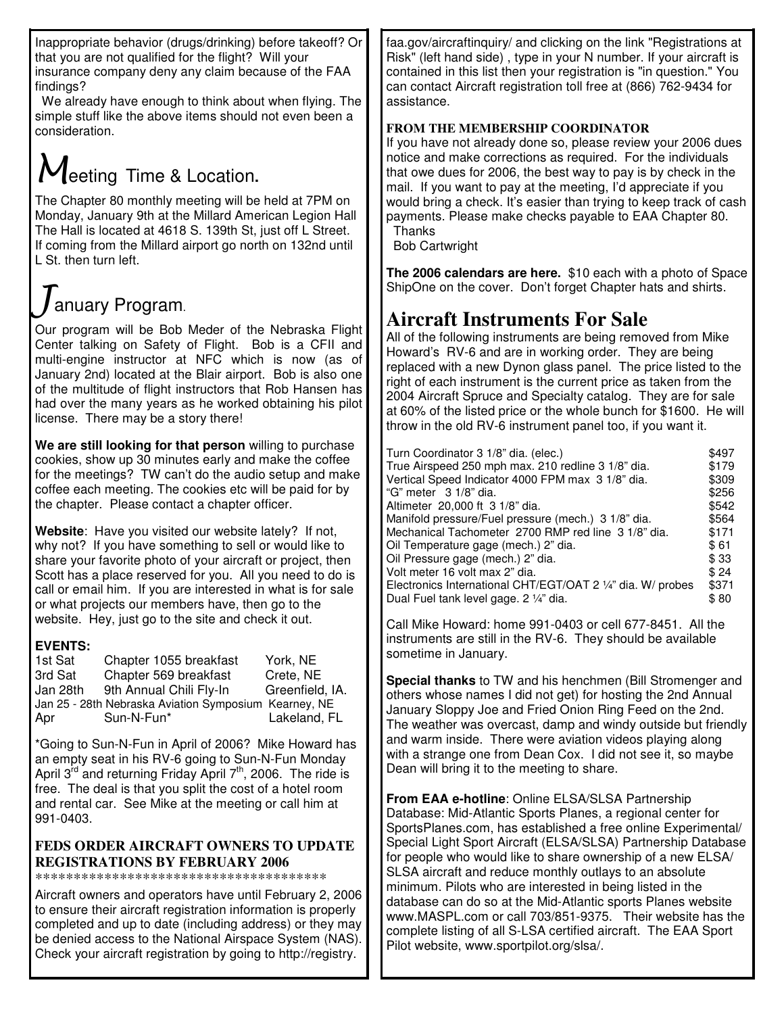Inappropriate behavior (drugs/drinking) before takeoff? Or that you are not qualified for the flight? Will your insurance company deny any claim because of the FAA findings?

We already have enough to think about when flying. The simple stuff like the above items should not even been a consideration.

# $M$ eeting Time & Location.

The Chapter 80 monthly meeting will be held at 7PM on Monday, January 9th at the Millard American Legion Hall The Hall is located at 4618 S. 139th St, just off L Street. If coming from the Millard airport go north on 132nd until L St. then turn left.

# $J$ anuary Program.

Our program will be Bob Meder of the Nebraska Flight Center talking on Safety of Flight. Bob is a CFII and multi-engine instructor at NFC which is now (as of January 2nd) located at the Blair airport. Bob is also one of the multitude of flight instructors that Rob Hansen has had over the many years as he worked obtaining his pilot license. There may be a story there!

**We are still looking for that person** willing to purchase cookies, show up 30 minutes early and make the coffee for the meetings? TW can't do the audio setup and make coffee each meeting. The cookies etc will be paid for by the chapter. Please contact a chapter officer.

**Website**: Have you visited our website lately? If not, why not? If you have something to sell or would like to share your favorite photo of your aircraft or project, then Scott has a place reserved for you. All you need to do is call or email him. If you are interested in what is for sale or what projects our members have, then go to the website. Hey, just go to the site and check it out.

### **EVENTS:**

| 1st Sat  | Chapter 1055 breakfast                                | York, NE        |
|----------|-------------------------------------------------------|-----------------|
| 3rd Sat  | Chapter 569 breakfast                                 | Crete, NE       |
| Jan 28th | 9th Annual Chili Fly-In                               | Greenfield, IA. |
|          | Jan 25 - 28th Nebraska Aviation Symposium Kearney, NE |                 |
| Apr      | Sun-N-Fun*                                            | Lakeland, FL    |

\*Going to Sun-N-Fun in April of 2006? Mike Howard has an empty seat in his RV-6 going to Sun-N-Fun Monday April 3<sup>rd</sup> and returning Friday April 7<sup>th</sup>, 2006. The ride is free. The deal is that you split the cost of a hotel room and rental car. See Mike at the meeting or call him at 991-0403.

### **FEDS ORDER AIRCRAFT OWNERS TO UPDATE REGISTRATIONS BY FEBRUARY 2006**

\*\*\*\*\*\*\*\*\*\*\*\*\*\*\*\*\*\*\*\*\*\*\*\*\*\*\*\*\*\*\*\*\*\*\*\*\*\*

Aircraft owners and operators have until February 2, 2006 to ensure their aircraft registration information is properly completed and up to date (including address) or they may be denied access to the National Airspace System (NAS). Check your aircraft registration by going to http://registry.

faa.gov/aircraftinquiry/ and clicking on the link "Registrations at Risk" (left hand side) , type in your N number. If your aircraft is contained in this list then your registration is "in question." You can contact Aircraft registration toll free at (866) 762-9434 for assistance.

## **FROM THE MEMBERSHIP COORDINATOR**

If you have not already done so, please review your 2006 dues notice and make corrections as required. For the individuals that owe dues for 2006, the best way to pay is by check in the mail. If you want to pay at the meeting, I'd appreciate if you would bring a check. It's easier than trying to keep track of cash payments. Please make checks payable to EAA Chapter 80. **Thanks** 

Bob Cartwright

**The 2006 calendars are here.** \$10 each with a photo of Space ShipOne on the cover. Don't forget Chapter hats and shirts.

# **Aircraft Instruments For Sale**

All of the following instruments are being removed from Mike Howard's RV-6 and are in working order. They are being replaced with a new Dynon glass panel. The price listed to the right of each instrument is the current price as taken from the 2004 Aircraft Spruce and Specialty catalog. They are for sale at 60% of the listed price or the whole bunch for \$1600. He will throw in the old RV-6 instrument panel too, if you want it.

| Turn Coordinator 3 1/8" dia. (elec.)                        | \$497 |
|-------------------------------------------------------------|-------|
| True Airspeed 250 mph max. 210 redline 3 1/8" dia.          | \$179 |
| Vertical Speed Indicator 4000 FPM max 3 1/8" dia.           |       |
| "G" meter 3 1/8" dia.                                       | \$256 |
| Altimeter 20,000 ft 3 1/8" dia.                             |       |
| Manifold pressure/Fuel pressure (mech.) 3 1/8" dia.         |       |
| Mechanical Tachometer 2700 RMP red line 3 1/8" dia.         |       |
| Oil Temperature gage (mech.) 2" dia.                        |       |
| Oil Pressure gage (mech.) 2" dia.                           |       |
| Volt meter 16 volt max 2" dia.                              |       |
| Electronics International CHT/EGT/OAT 2 1/4" dia. W/ probes |       |
| Dual Fuel tank level gage. 2 1/4" dia.                      |       |

Call Mike Howard: home 991-0403 or cell 677-8451. All the instruments are still in the RV-6. They should be available sometime in January.

**Special thanks** to TW and his henchmen (Bill Stromenger and others whose names I did not get) for hosting the 2nd Annual January Sloppy Joe and Fried Onion Ring Feed on the 2nd. The weather was overcast, damp and windy outside but friendly and warm inside. There were aviation videos playing along with a strange one from Dean Cox. I did not see it, so maybe Dean will bring it to the meeting to share.

**From EAA e-hotline**: Online ELSA/SLSA Partnership Database: Mid-Atlantic Sports Planes, a regional center for SportsPlanes.com, has established a free online Experimental/ Special Light Sport Aircraft (ELSA/SLSA) Partnership Database for people who would like to share ownership of a new ELSA/ SLSA aircraft and reduce monthly outlays to an absolute minimum. Pilots who are interested in being listed in the database can do so at the Mid-Atlantic sports Planes website www.MASPL.com or call 703/851-9375. Their website has the complete listing of all S-LSA certified aircraft. The EAA Sport Pilot website, www.sportpilot.org/slsa/.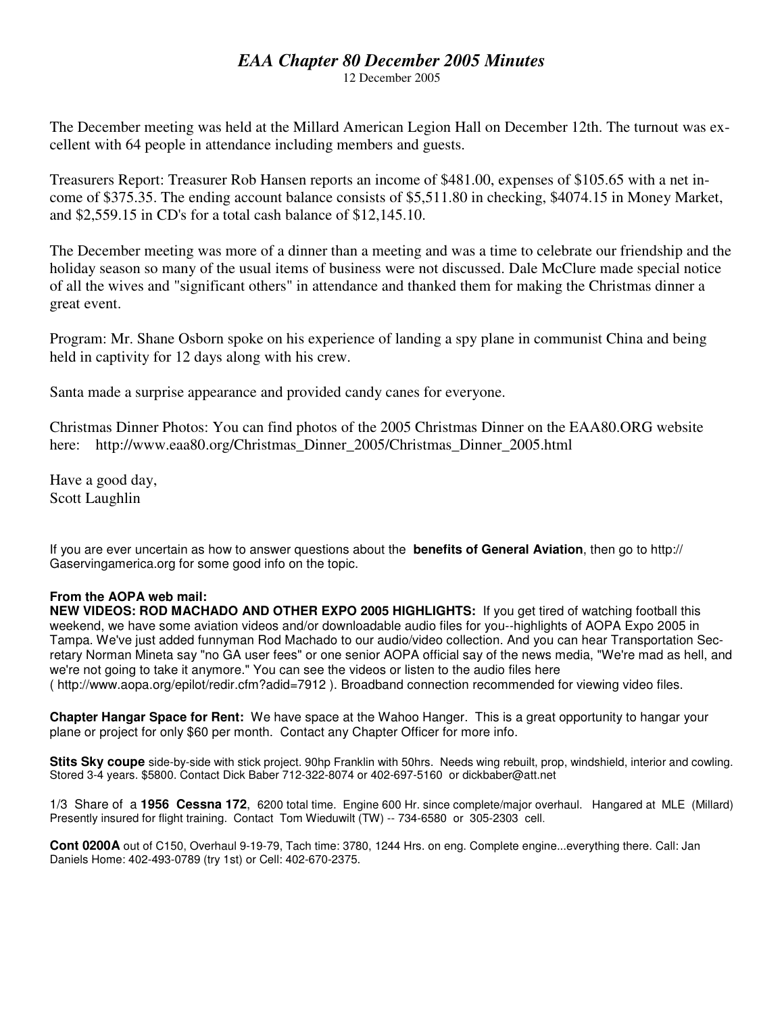### *EAA Chapter 80 December 2005 Minutes*

12 December 2005

The December meeting was held at the Millard American Legion Hall on December 12th. The turnout was excellent with 64 people in attendance including members and guests.

Treasurers Report: Treasurer Rob Hansen reports an income of \$481.00, expenses of \$105.65 with a net income of \$375.35. The ending account balance consists of \$5,511.80 in checking, \$4074.15 in Money Market, and \$2,559.15 in CD's for a total cash balance of \$12,145.10.

The December meeting was more of a dinner than a meeting and was a time to celebrate our friendship and the holiday season so many of the usual items of business were not discussed. Dale McClure made special notice of all the wives and "significant others" in attendance and thanked them for making the Christmas dinner a great event.

Program: Mr. Shane Osborn spoke on his experience of landing a spy plane in communist China and being held in captivity for 12 days along with his crew.

Santa made a surprise appearance and provided candy canes for everyone.

Christmas Dinner Photos: You can find photos of the 2005 Christmas Dinner on the EAA80.ORG website here: http://www.eaa80.org/Christmas\_Dinner\_2005/Christmas\_Dinner\_2005.html

Have a good day, Scott Laughlin

If you are ever uncertain as how to answer questions about the **benefits of General Aviation**, then go to http:// Gaservingamerica.org for some good info on the topic.

#### **From the AOPA web mail:**

**NEW VIDEOS: ROD MACHADO AND OTHER EXPO 2005 HIGHLIGHTS:** If you get tired of watching football this weekend, we have some aviation videos and/or downloadable audio files for you--highlights of AOPA Expo 2005 in Tampa. We've just added funnyman Rod Machado to our audio/video collection. And you can hear Transportation Secretary Norman Mineta say "no GA user fees" or one senior AOPA official say of the news media, "We're mad as hell, and we're not going to take it anymore." You can see the videos or listen to the audio files here ( http://www.aopa.org/epilot/redir.cfm?adid=7912 ). Broadband connection recommended for viewing video files.

**Chapter Hangar Space for Rent:** We have space at the Wahoo Hanger. This is a great opportunity to hangar your plane or project for only \$60 per month. Contact any Chapter Officer for more info.

**Stits Sky coupe** side-by-side with stick project. 90hp Franklin with 50hrs. Needs wing rebuilt, prop, windshield, interior and cowling. Stored 3-4 years. \$5800. Contact Dick Baber 712-322-8074 or 402-697-5160 or dickbaber@att.net

1/3 Share of a **1956 Cessna 172**, 6200 total time. Engine 600 Hr. since complete/major overhaul. Hangared at MLE (Millard) Presently insured for flight training. Contact Tom Wieduwilt (TW) -- 734-6580 or 305-2303 cell.

**Cont 0200A** out of C150, Overhaul 9-19-79, Tach time: 3780, 1244 Hrs. on eng. Complete engine...everything there. Call: Jan Daniels Home: 402-493-0789 (try 1st) or Cell: 402-670-2375.